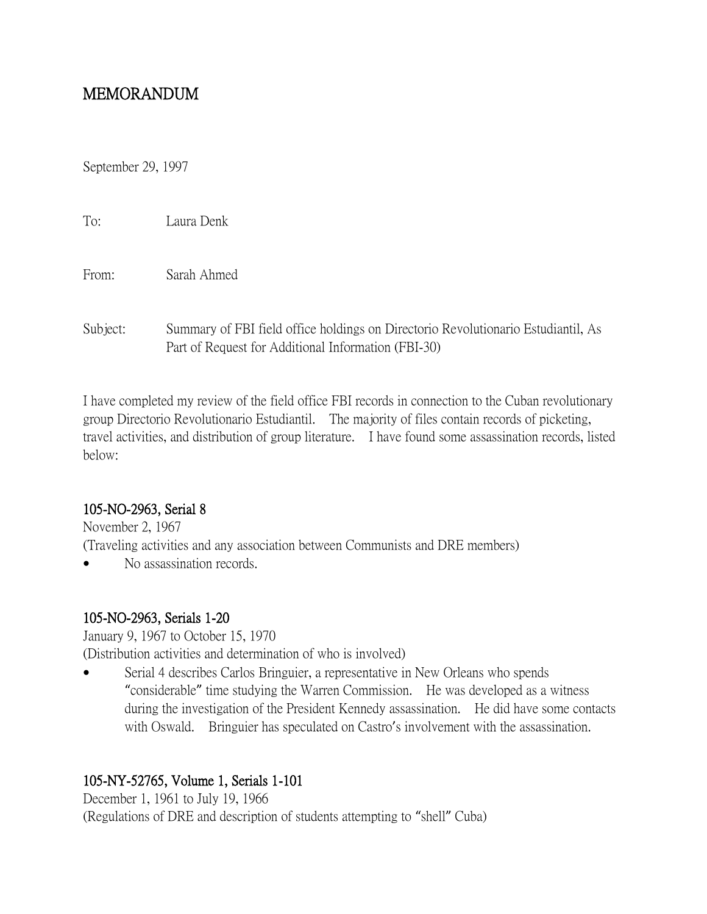# MEMORANDUM

September 29, 1997

| To:      | Laura Denk                                                                                                                               |
|----------|------------------------------------------------------------------------------------------------------------------------------------------|
| From:    | Sarah Ahmed                                                                                                                              |
| Subject: | Summary of FBI field office holdings on Directorio Revolutionario Estudiantil, As<br>Part of Request for Additional Information (FBI-30) |

I have completed my review of the field office FBI records in connection to the Cuban revolutionary group Directorio Revolutionario Estudiantil. The majority of files contain records of picketing, travel activities, and distribution of group literature. I have found some assassination records, listed below:

#### 105-NO-2963, Serial 8

November 2, 1967 (Traveling activities and any association between Communists and DRE members)

No assassination records.

#### 105-NO-2963, Serials 1-20

January 9, 1967 to October 15, 1970 (Distribution activities and determination of who is involved)

 Serial 4 describes Carlos Bringuier, a representative in New Orleans who spends "considerable" time studying the Warren Commission. He was developed as a witness during the investigation of the President Kennedy assassination. He did have some contacts with Oswald. Bringuier has speculated on Castro's involvement with the assassination.

# 105-NY-52765, Volume 1, Serials 1-101

December 1, 1961 to July 19, 1966 (Regulations of DRE and description of students attempting to "shell" Cuba)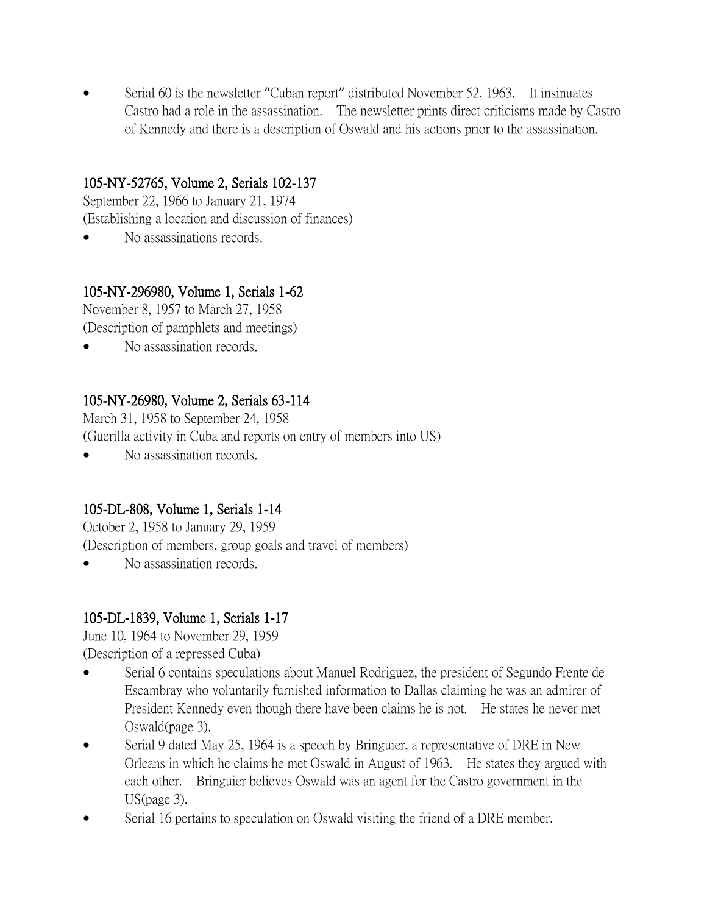Serial 60 is the newsletter "Cuban report" distributed November 52, 1963. It insinuates Castro had a role in the assassination. The newsletter prints direct criticisms made by Castro of Kennedy and there is a description of Oswald and his actions prior to the assassination.

#### 105-NY-52765, Volume 2, Serials 102-137

September 22, 1966 to January 21, 1974 (Establishing a location and discussion of finances)

No assassinations records.

## 105-NY-296980, Volume 1, Serials 1-62

November 8, 1957 to March 27, 1958 (Description of pamphlets and meetings)

No assassination records.

## 105-NY-26980, Volume 2, Serials 63-114

March 31, 1958 to September 24, 1958

(Guerilla activity in Cuba and reports on entry of members into US)

No assassination records.

#### 105-DL-808, Volume 1, Serials 1-14

October 2, 1958 to January 29, 1959 (Description of members, group goals and travel of members)

No assassination records.

# 105-DL-1839, Volume 1, Serials 1-17

June 10, 1964 to November 29, 1959 (Description of a repressed Cuba)

- Serial 6 contains speculations about Manuel Rodriguez, the president of Segundo Frente de Escambray who voluntarily furnished information to Dallas claiming he was an admirer of President Kennedy even though there have been claims he is not. He states he never met Oswald(page 3).
- Serial 9 dated May 25, 1964 is a speech by Bringuier, a representative of DRE in New Orleans in which he claims he met Oswald in August of 1963. He states they argued with each other. Bringuier believes Oswald was an agent for the Castro government in the US(page 3).
- Serial 16 pertains to speculation on Oswald visiting the friend of a DRE member.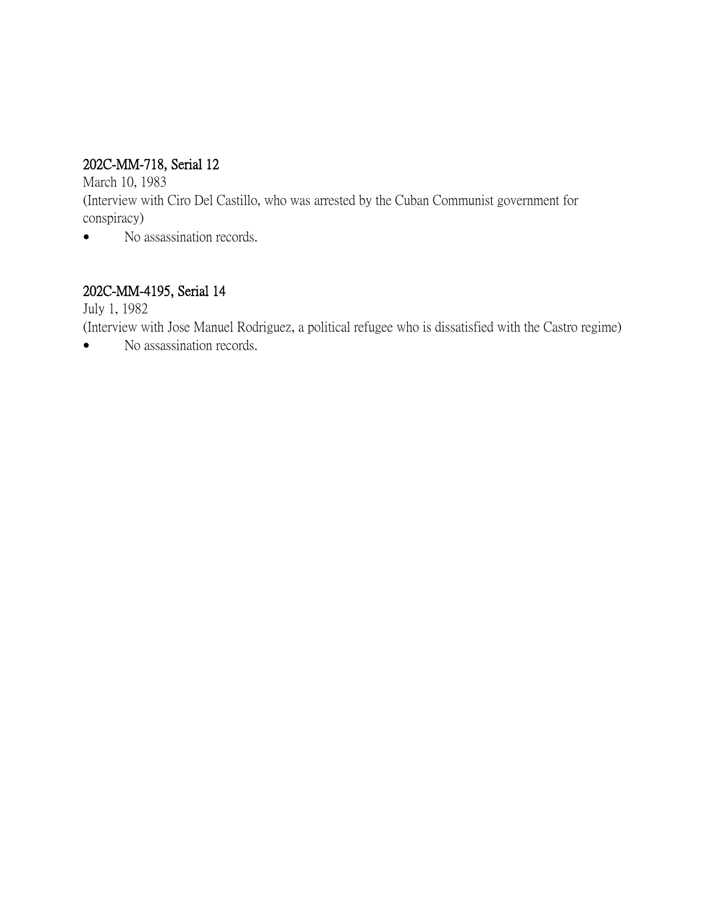# 202C-MM-718, Serial 12

March 10, 1983

(Interview with Ciro Del Castillo, who was arrested by the Cuban Communist government for conspiracy)

• No assassination records.

## 202C-MM-4195, Serial 14

July 1, 1982

(Interview with Jose Manuel Rodriguez, a political refugee who is dissatisfied with the Castro regime)

• No assassination records.